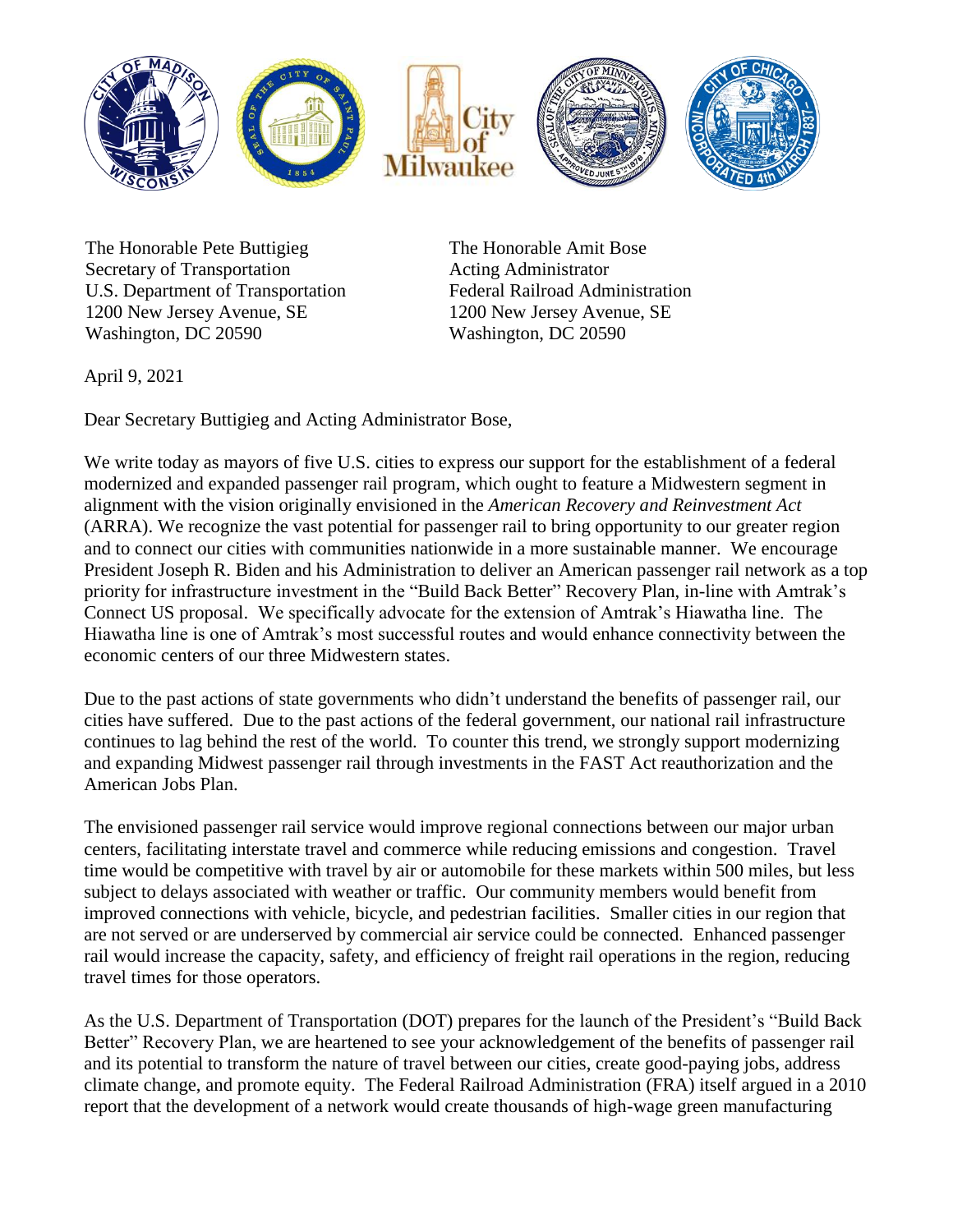

The Honorable Pete Buttigieg Secretary of Transportation U.S. Department of Transportation 1200 New Jersey Avenue, SE Washington, DC 20590

The Honorable Amit Bose Acting Administrator Federal Railroad Administration 1200 New Jersey Avenue, SE Washington, DC 20590

April 9, 2021

Dear Secretary Buttigieg and Acting Administrator Bose,

We write today as mayors of five U.S. cities to express our support for the establishment of a federal modernized and expanded passenger rail program, which ought to feature a Midwestern segment in alignment with the vision originally envisioned in the *American Recovery and Reinvestment Act*  (ARRA). We recognize the vast potential for passenger rail to bring opportunity to our greater region and to connect our cities with communities nationwide in a more sustainable manner. We encourage President Joseph R. Biden and his Administration to deliver an American passenger rail network as a top priority for infrastructure investment in the "Build Back Better" Recovery Plan, in-line with Amtrak's Connect US proposal. We specifically advocate for the extension of Amtrak's Hiawatha line. The Hiawatha line is one of Amtrak's most successful routes and would enhance connectivity between the economic centers of our three Midwestern states.

Due to the past actions of state governments who didn't understand the benefits of passenger rail, our cities have suffered. Due to the past actions of the federal government, our national rail infrastructure continues to lag behind the rest of the world. To counter this trend, we strongly support modernizing and expanding Midwest passenger rail through investments in the FAST Act reauthorization and the American Jobs Plan.

The envisioned passenger rail service would improve regional connections between our major urban centers, facilitating interstate travel and commerce while reducing emissions and congestion. Travel time would be competitive with travel by air or automobile for these markets within 500 miles, but less subject to delays associated with weather or traffic. Our community members would benefit from improved connections with vehicle, bicycle, and pedestrian facilities. Smaller cities in our region that are not served or are underserved by commercial air service could be connected. Enhanced passenger rail would increase the capacity, safety, and efficiency of freight rail operations in the region, reducing travel times for those operators.

As the U.S. Department of Transportation (DOT) prepares for the launch of the President's "Build Back Better" Recovery Plan, we are heartened to see your acknowledgement of the benefits of passenger rail and its potential to transform the nature of travel between our cities, create good-paying jobs, address climate change, and promote equity. The Federal Railroad Administration (FRA) itself argued in a 2010 report that the development of a network would create thousands of high-wage green manufacturing